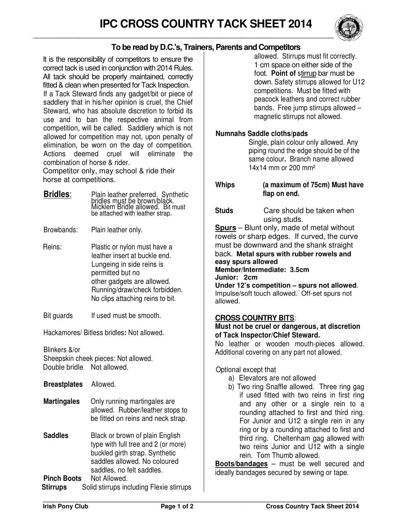

## **To be read by D.C.'s, Trainers, Parents and Competitors**

It is the responsibility of competitors to ensure the correct tack is used in conjunction with 2014 Rules. All tack should be properly maintained, correctly fitted & clean when presented for Tack Inspection. If a Tack Steward finds any gadget/bit or piece of saddlery that in his/her opinion is cruel, the Chief Steward, who has absolute discretion to forbid its use and to ban the respective animal from competition, will be called. Saddlery which is not allowed for competition may not, upon penalty of elimination, be worn on the day of competition. Actions deemed cruel will eliminate the combination of horse & rider.

Competitor only, may school & ride their horse at competitions.

- **Bridles**: Plain leather preferred. Synthetic bridles must be brown/black. Micklem Bridle allowed. Bit must be attached with leather strap.
- Browbands: Plain leather only.
- Reins: Plastic or nylon must have a leather insert at buckle end. Lungeing in side reins is permitted but no other gadgets are allowed. Running/draw/check forbidden. No clips attaching reins to bit.
- Bit guards If used must be smooth.

Hackamores/ Bitless bridles**:** Not allowed.

Blinkers &/or Sheepskin cheek pieces: Not allowed. Double bridle Not allowed.

| <b>Breastplates</b> Allowed. |                                                                                                                                                                       |  |  |  |  |  |
|------------------------------|-----------------------------------------------------------------------------------------------------------------------------------------------------------------------|--|--|--|--|--|
| <b>Martingales</b>           | Only running martingales are<br>allowed. Rubber/leather stops to<br>be fitted on reins and neck strap.                                                                |  |  |  |  |  |
| <b>Saddles</b>               | Black or brown of plain English<br>type with full tree and 2 (or more)<br>buckled girth strap. Synthetic<br>saddles allowed. No coloured<br>saddles, no felt saddles. |  |  |  |  |  |
| <b>Pinch Boots</b>           | Not Allowed.<br>والمستحل والمنافذ والمستردة                                                                                                                           |  |  |  |  |  |

**Stirrups** Solid stirrups including Flexie stirrups

allowed. Stirrups must fit correctly. 1 cm space on either side of the foot. **Point of** stirrup bar must be down. Safety stirrups allowed for U12 competitions. Must be fitted with peacock leathers and correct rubber bands. Free jump stirrups allowed – magnetic stirrups not allowed.

#### **Numnahs Saddle cloths/pads**

Single, plain colour only allowed. Any piping round the edge should be of the same colour**.** Branch name allowed 14x14 mm or 200 mm²

**Whips (a maximum of 75cm) Must have flap on end.** 

**Studs** Care should be taken when using studs.

**Spurs** – Blunt only, made of metal without rowels or sharp edges. If curved, the curve must be downward and the shank straight back. **Metal spurs with rubber rowels and easy spurs allowed Member/Intermediate: 3.5cm Junior: 2cm Under 12's competition – spurs not allowed**. Impulse/soft touch allowed. Off-set spurs not

# allowed.

### **CROSS COUNTRY BITS**:

#### **Must not be cruel or dangerous, at discretion of Tack Inspector/Chief Steward.**

No leather or wooden mouth-pieces allowed. Additional covering on any part not allowed.

### Optional except that

- a) Elevators are not allowed
- b) Two ring Snaffle allowed. Three ring gag if used fitted with two reins in first ring and any other or a single rein to a rounding attached to first and third ring. For Junior and U12 a single rein in any ring or by a rounding attached to first and third ring. Cheltenham gag allowed with two reins Junior and U12 with a single rein. Tom Thumb allowed.

**Boots/bandages** – must be well secured and ideally bandages secured by sewing or tape.